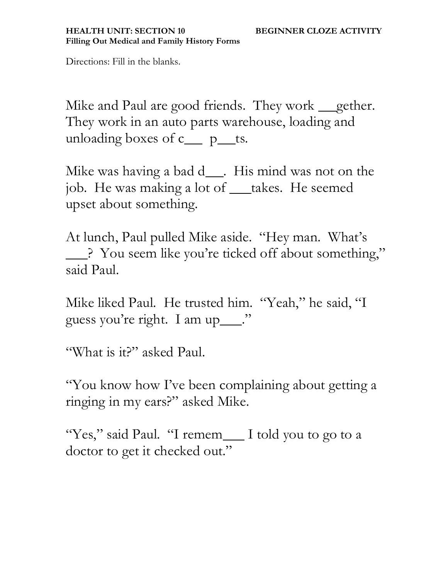Directions: Fill in the blanks.

Mike and Paul are good friends. They work <u>gether</u>. They work in an auto parts warehouse, loading and unloading boxes of  $c$  p\_ts.

Mike was having a bad d\_\_\_. His mind was not on the job. He was making a lot of \_\_takes. He seemed upset about something.

At lunch, Paul pulled Mike aside. "Hey man. What's ? You seem like you're ticked off about something," said Paul.

Mike liked Paul. He trusted him. "Yeah," he said, "I guess you're right. I am up\_\_\_."

"What is it?" asked Paul.

"You know how I've been complaining about getting a ringing in my ears?" asked Mike.

"Yes," said Paul. "I remem\_\_ I told you to go to a doctor to get it checked out."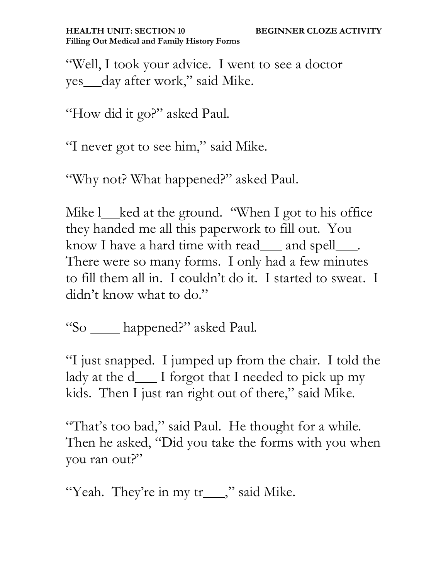"Well, I took your advice. I went to see a doctor yes day after work," said Mike.

"How did it go?" asked Paul.

"I never got to see him," said Mike.

"Why not? What happened?" asked Paul.

Mike l\_ked at the ground. "When I got to his office they handed me all this paperwork to fill out. You know I have a hard time with read\_\_and spell\_\_\_. There were so many forms. I only had a few minutes to fill them all in. I couldn't do it. I started to sweat. I didn't know what to do."

"So \_\_\_ happened?" asked Paul.

"I just snapped. I jumped up from the chair. I told the lady at the d\_\_\_ I forgot that I needed to pick up my kids. Then I just ran right out of there," said Mike.

"That's too bad," said Paul. He thought for a while. Then he asked, "Did you take the forms with you when you ran out?"

"Yeah. They're in my tr\_\_\_\_," said Mike.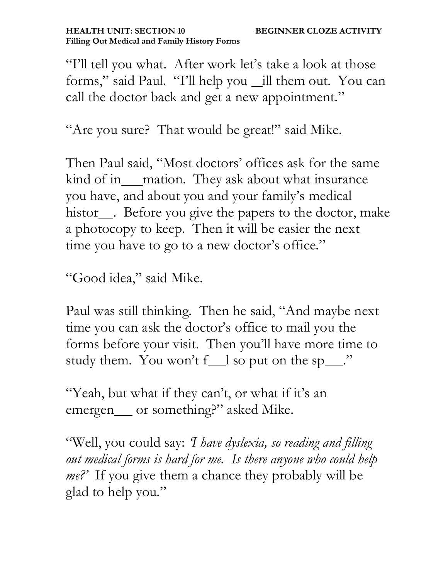"I'll tell you what. After work let's take a look at those forms," said Paul. "I'll help you \_ill them out. You can call the doctor back and get a new appointment."

"Are you sure? That would be great!" said Mike.

Then Paul said, "Most doctors' offices ask for the same kind of in\_\_\_mation. They ask about what insurance you have, and about you and your family's medical histor<sub>.</sub> Before you give the papers to the doctor, make a photocopy to keep. Then it will be easier the next time you have to go to a new doctor's office."

"Good idea," said Mike.

Paul was still thinking. Then he said, "And maybe next time you can ask the doctor's office to mail you the forms before your visit. Then you'll have more time to study them. You won't f\_l so put on the sp\_".

"Yeah, but what if they can't, or what if it's an emergen \_\_ or something?" asked Mike.

"Well, you could say: *'I have dyslexia, so reading and filling out medical forms is hard for me. Is there anyone who could help me?'* If you give them a chance they probably will be glad to help you."